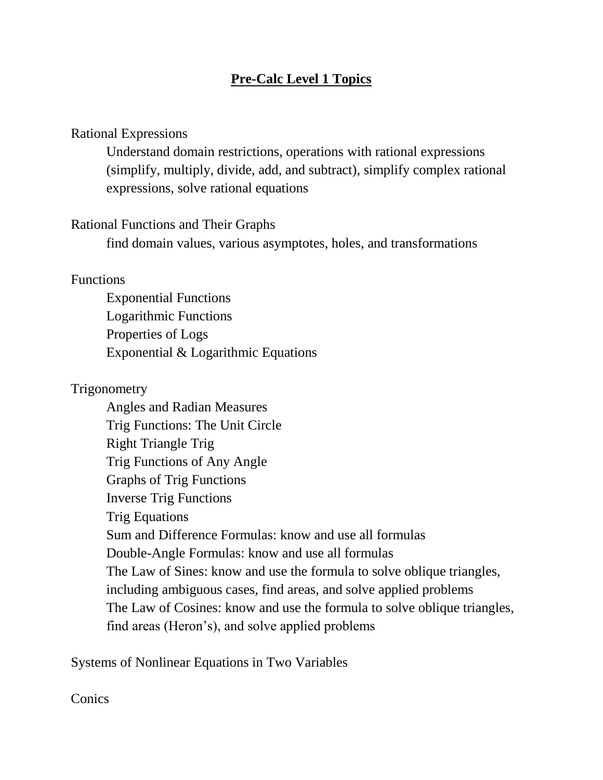# **Pre-Calc Level 1 Topics**

### Rational Expressions

Understand domain restrictions, operations with rational expressions (simplify, multiply, divide, add, and subtract), simplify complex rational expressions, solve rational equations

#### Rational Functions and Their Graphs

find domain values, various asymptotes, holes, and transformations

#### Functions

Exponential Functions Logarithmic Functions Properties of Logs Exponential & Logarithmic Equations

## **Trigonometry**

Angles and Radian Measures Trig Functions: The Unit Circle Right Triangle Trig Trig Functions of Any Angle Graphs of Trig Functions Inverse Trig Functions Trig Equations Sum and Difference Formulas: know and use all formulas Double-Angle Formulas: know and use all formulas The Law of Sines: know and use the formula to solve oblique triangles, including ambiguous cases, find areas, and solve applied problems The Law of Cosines: know and use the formula to solve oblique triangles, find areas (Heron's), and solve applied problems

Systems of Nonlinear Equations in Two Variables

## **Conics**